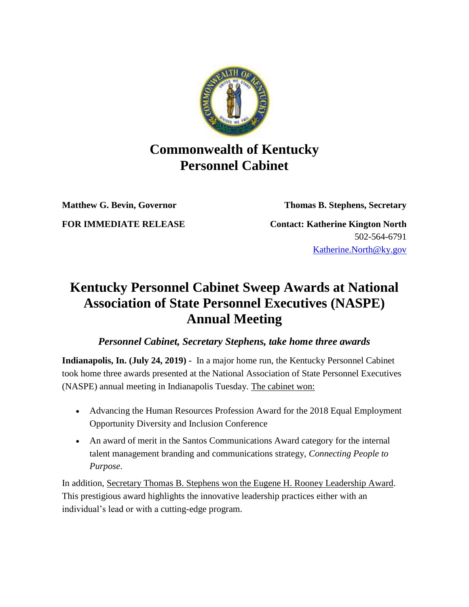

## **Commonwealth of Kentucky Personnel Cabinet**

**Matthew G. Bevin, Governor Thomas B. Stephens, Secretary**

**FOR IMMEDIATE RELEASE Contact: Katherine Kington North** 502-564-6791 [Katherine.North@ky.gov](mailto:LaDonna.Koebel.ky.gov)

## **Kentucky Personnel Cabinet Sweep Awards at National Association of State Personnel Executives (NASPE) Annual Meeting**

## *Personnel Cabinet, Secretary Stephens, take home three awards*

**Indianapolis, In. (July 24, 2019) -** In a major home run, the Kentucky Personnel Cabinet took home three awards presented at the National Association of State Personnel Executives (NASPE) annual meeting in Indianapolis Tuesday. The cabinet won:

- Advancing the Human Resources Profession Award for the 2018 Equal Employment Opportunity Diversity and Inclusion Conference
- An award of merit in the Santos Communications Award category for the internal talent management branding and communications strategy, *Connecting People to Purpose*.

In addition, Secretary Thomas B. Stephens won the Eugene H. Rooney Leadership Award. This prestigious award highlights the innovative leadership practices either with an individual's lead or with a cutting-edge program.